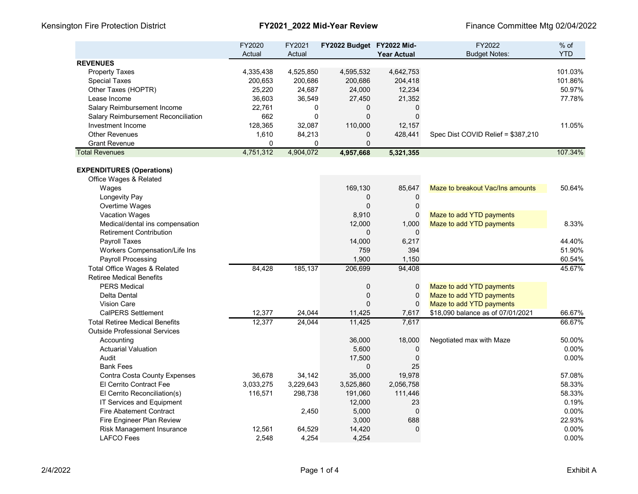Kensington Fire Protection District **FY2021\_2022 Mid-Year Review** Finance Committee Mtg 02/04/2022

| <b>REVENUES</b><br>4,525,850<br>4,595,532<br>4,642,753<br>101.03%<br><b>Property Taxes</b><br>4,335,438<br>101.86%<br><b>Special Taxes</b><br>200,653<br>200,686<br>200,686<br>204,418<br>25,220<br>50.97%<br>Other Taxes (HOPTR)<br>24,687<br>24,000<br>12,234<br>Lease Income<br>36,603<br>36,549<br>27,450<br>21,352<br>77.78%<br>Salary Reimbursement Income<br>22,761<br>0<br>0<br>0<br>$\mathbf 0$<br>662<br>$\Omega$<br>$\mathbf 0$<br>Salary Reimbursement Reconciliation<br>128,365<br>32,087<br>110,000<br>Investment Income<br>12,157<br>11.05%<br>84,213<br><b>Other Revenues</b><br>1,610<br>$\mathbf 0$<br>428,441<br>Spec Dist COVID Relief = \$387,210<br>$\mathbf{0}$<br><b>Grant Revenue</b><br>0<br>$\Omega$<br>4,751,312<br><b>Total Revenues</b><br>4,904,072<br>107.34%<br>4,957,668<br>5,321,355<br><b>EXPENDITURES (Operations)</b><br>Office Wages & Related |       | FY2020<br>Actual | FY2021<br>Actual | FY2022 Budget FY2022 Mid- | <b>Year Actual</b> | FY2022<br><b>Budget Notes:</b>   | $%$ of<br><b>YTD</b> |
|---------------------------------------------------------------------------------------------------------------------------------------------------------------------------------------------------------------------------------------------------------------------------------------------------------------------------------------------------------------------------------------------------------------------------------------------------------------------------------------------------------------------------------------------------------------------------------------------------------------------------------------------------------------------------------------------------------------------------------------------------------------------------------------------------------------------------------------------------------------------------------------|-------|------------------|------------------|---------------------------|--------------------|----------------------------------|----------------------|
|                                                                                                                                                                                                                                                                                                                                                                                                                                                                                                                                                                                                                                                                                                                                                                                                                                                                                       |       |                  |                  |                           |                    |                                  |                      |
|                                                                                                                                                                                                                                                                                                                                                                                                                                                                                                                                                                                                                                                                                                                                                                                                                                                                                       |       |                  |                  |                           |                    |                                  |                      |
|                                                                                                                                                                                                                                                                                                                                                                                                                                                                                                                                                                                                                                                                                                                                                                                                                                                                                       |       |                  |                  |                           |                    |                                  |                      |
|                                                                                                                                                                                                                                                                                                                                                                                                                                                                                                                                                                                                                                                                                                                                                                                                                                                                                       |       |                  |                  |                           |                    |                                  |                      |
|                                                                                                                                                                                                                                                                                                                                                                                                                                                                                                                                                                                                                                                                                                                                                                                                                                                                                       |       |                  |                  |                           |                    |                                  |                      |
|                                                                                                                                                                                                                                                                                                                                                                                                                                                                                                                                                                                                                                                                                                                                                                                                                                                                                       |       |                  |                  |                           |                    |                                  |                      |
|                                                                                                                                                                                                                                                                                                                                                                                                                                                                                                                                                                                                                                                                                                                                                                                                                                                                                       |       |                  |                  |                           |                    |                                  |                      |
|                                                                                                                                                                                                                                                                                                                                                                                                                                                                                                                                                                                                                                                                                                                                                                                                                                                                                       |       |                  |                  |                           |                    |                                  |                      |
|                                                                                                                                                                                                                                                                                                                                                                                                                                                                                                                                                                                                                                                                                                                                                                                                                                                                                       |       |                  |                  |                           |                    |                                  |                      |
|                                                                                                                                                                                                                                                                                                                                                                                                                                                                                                                                                                                                                                                                                                                                                                                                                                                                                       |       |                  |                  |                           |                    |                                  |                      |
|                                                                                                                                                                                                                                                                                                                                                                                                                                                                                                                                                                                                                                                                                                                                                                                                                                                                                       |       |                  |                  |                           |                    |                                  |                      |
|                                                                                                                                                                                                                                                                                                                                                                                                                                                                                                                                                                                                                                                                                                                                                                                                                                                                                       |       |                  |                  |                           |                    |                                  |                      |
|                                                                                                                                                                                                                                                                                                                                                                                                                                                                                                                                                                                                                                                                                                                                                                                                                                                                                       |       |                  |                  |                           |                    |                                  |                      |
|                                                                                                                                                                                                                                                                                                                                                                                                                                                                                                                                                                                                                                                                                                                                                                                                                                                                                       |       |                  |                  |                           |                    |                                  |                      |
|                                                                                                                                                                                                                                                                                                                                                                                                                                                                                                                                                                                                                                                                                                                                                                                                                                                                                       | Wages |                  |                  | 169,130                   | 85,647             | Maze to breakout Vac/Ins amounts | 50.64%               |
| Longevity Pay<br>$\Omega$<br>$\mathbf 0$                                                                                                                                                                                                                                                                                                                                                                                                                                                                                                                                                                                                                                                                                                                                                                                                                                              |       |                  |                  |                           |                    |                                  |                      |
| Overtime Wages<br>$\Omega$<br>$\mathbf 0$                                                                                                                                                                                                                                                                                                                                                                                                                                                                                                                                                                                                                                                                                                                                                                                                                                             |       |                  |                  |                           |                    |                                  |                      |
| Vacation Wages<br>8,910<br>$\mathbf 0$<br>Maze to add YTD payments                                                                                                                                                                                                                                                                                                                                                                                                                                                                                                                                                                                                                                                                                                                                                                                                                    |       |                  |                  |                           |                    |                                  |                      |
| Medical/dental ins compensation<br>12,000<br>1,000<br>Maze to add YTD payments<br>8.33%                                                                                                                                                                                                                                                                                                                                                                                                                                                                                                                                                                                                                                                                                                                                                                                               |       |                  |                  |                           |                    |                                  |                      |
| <b>Retirement Contribution</b><br>$\Omega$<br>$\Omega$                                                                                                                                                                                                                                                                                                                                                                                                                                                                                                                                                                                                                                                                                                                                                                                                                                |       |                  |                  |                           |                    |                                  |                      |
| 14,000<br>44.40%<br>Payroll Taxes<br>6,217                                                                                                                                                                                                                                                                                                                                                                                                                                                                                                                                                                                                                                                                                                                                                                                                                                            |       |                  |                  |                           |                    |                                  |                      |
| Workers Compensation/Life Ins<br>759<br>394<br>51.90%                                                                                                                                                                                                                                                                                                                                                                                                                                                                                                                                                                                                                                                                                                                                                                                                                                 |       |                  |                  |                           |                    |                                  |                      |
| 1,900<br>Payroll Processing<br>1,150<br>60.54%                                                                                                                                                                                                                                                                                                                                                                                                                                                                                                                                                                                                                                                                                                                                                                                                                                        |       |                  |                  |                           |                    |                                  |                      |
| Total Office Wages & Related<br>185,137<br>206,699<br>94,408<br>45.67%<br>84,428                                                                                                                                                                                                                                                                                                                                                                                                                                                                                                                                                                                                                                                                                                                                                                                                      |       |                  |                  |                           |                    |                                  |                      |
| <b>Retiree Medical Benefits</b>                                                                                                                                                                                                                                                                                                                                                                                                                                                                                                                                                                                                                                                                                                                                                                                                                                                       |       |                  |                  |                           |                    |                                  |                      |
| <b>PERS Medical</b><br>0<br>0<br>Maze to add YTD payments                                                                                                                                                                                                                                                                                                                                                                                                                                                                                                                                                                                                                                                                                                                                                                                                                             |       |                  |                  |                           |                    |                                  |                      |
| $\mathbf 0$<br>$\mathbf 0$<br>Maze to add YTD payments<br>Delta Dental                                                                                                                                                                                                                                                                                                                                                                                                                                                                                                                                                                                                                                                                                                                                                                                                                |       |                  |                  |                           |                    |                                  |                      |
| <b>Vision Care</b><br>$\Omega$<br>Maze to add YTD payments<br>$\mathbf 0$                                                                                                                                                                                                                                                                                                                                                                                                                                                                                                                                                                                                                                                                                                                                                                                                             |       |                  |                  |                           |                    |                                  |                      |
| <b>CalPERS Settlement</b><br>12,377<br>24,044<br>\$18,090 balance as of 07/01/2021<br>66.67%<br>11,425<br>7,617                                                                                                                                                                                                                                                                                                                                                                                                                                                                                                                                                                                                                                                                                                                                                                       |       |                  |                  |                           |                    |                                  |                      |
| 66.67%<br>12,377<br>24,044<br>11,425<br>7,617<br><b>Total Retiree Medical Benefits</b>                                                                                                                                                                                                                                                                                                                                                                                                                                                                                                                                                                                                                                                                                                                                                                                                |       |                  |                  |                           |                    |                                  |                      |
| <b>Outside Professional Services</b>                                                                                                                                                                                                                                                                                                                                                                                                                                                                                                                                                                                                                                                                                                                                                                                                                                                  |       |                  |                  |                           |                    |                                  |                      |
| 36,000<br>18,000<br>50.00%<br>Accounting<br>Negotiated max with Maze                                                                                                                                                                                                                                                                                                                                                                                                                                                                                                                                                                                                                                                                                                                                                                                                                  |       |                  |                  |                           |                    |                                  |                      |
| 0.00%<br><b>Actuarial Valuation</b><br>5,600<br>0                                                                                                                                                                                                                                                                                                                                                                                                                                                                                                                                                                                                                                                                                                                                                                                                                                     |       |                  |                  |                           |                    |                                  |                      |
| $\mathbf 0$<br>Audit<br>17,500<br>0.00%                                                                                                                                                                                                                                                                                                                                                                                                                                                                                                                                                                                                                                                                                                                                                                                                                                               |       |                  |                  |                           |                    |                                  |                      |
| 25<br><b>Bank Fees</b><br>$\Omega$                                                                                                                                                                                                                                                                                                                                                                                                                                                                                                                                                                                                                                                                                                                                                                                                                                                    |       |                  |                  |                           |                    |                                  |                      |
| <b>Contra Costa County Expenses</b><br>36,678<br>34,142<br>35,000<br>19,978<br>57.08%                                                                                                                                                                                                                                                                                                                                                                                                                                                                                                                                                                                                                                                                                                                                                                                                 |       |                  |                  |                           |                    |                                  |                      |
| El Cerrito Contract Fee<br>3,033,275<br>3,229,643<br>3,525,860<br>2,056,758<br>58.33%                                                                                                                                                                                                                                                                                                                                                                                                                                                                                                                                                                                                                                                                                                                                                                                                 |       |                  |                  |                           |                    |                                  |                      |
| 58.33%<br>El Cerrito Reconciliation(s)<br>116,571<br>298,738<br>191,060<br>111,446                                                                                                                                                                                                                                                                                                                                                                                                                                                                                                                                                                                                                                                                                                                                                                                                    |       |                  |                  |                           |                    |                                  |                      |
| IT Services and Equipment<br>12,000<br>0.19%<br>23                                                                                                                                                                                                                                                                                                                                                                                                                                                                                                                                                                                                                                                                                                                                                                                                                                    |       |                  |                  |                           |                    |                                  |                      |
| 5,000<br>$\mathbf 0$<br>0.00%<br><b>Fire Abatement Contract</b><br>2,450                                                                                                                                                                                                                                                                                                                                                                                                                                                                                                                                                                                                                                                                                                                                                                                                              |       |                  |                  |                           |                    |                                  |                      |
| Fire Engineer Plan Review<br>3,000<br>688<br>22.93%                                                                                                                                                                                                                                                                                                                                                                                                                                                                                                                                                                                                                                                                                                                                                                                                                                   |       |                  |                  |                           |                    |                                  |                      |
| 0.00%<br>Risk Management Insurance<br>14,420<br>$\mathbf 0$<br>12,561<br>64,529                                                                                                                                                                                                                                                                                                                                                                                                                                                                                                                                                                                                                                                                                                                                                                                                       |       |                  |                  |                           |                    |                                  |                      |
| <b>LAFCO Fees</b><br>0.00%<br>2.548<br>4,254<br>4,254                                                                                                                                                                                                                                                                                                                                                                                                                                                                                                                                                                                                                                                                                                                                                                                                                                 |       |                  |                  |                           |                    |                                  |                      |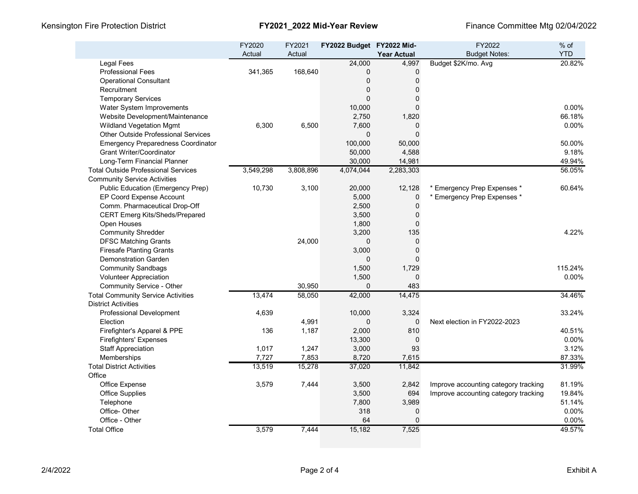|                                            | FY2020<br>Actual | FY2021<br>Actual | FY2022 Budget FY2022 Mid- |                             | FY2022<br><b>Budget Notes:</b>       | $%$ of<br><b>YTD</b> |
|--------------------------------------------|------------------|------------------|---------------------------|-----------------------------|--------------------------------------|----------------------|
| <b>Legal Fees</b>                          |                  |                  | 24,000                    | <b>Year Actual</b><br>4,997 | Budget \$2K/mo. Avg                  | 20.82%               |
| <b>Professional Fees</b>                   | 341,365          | 168,640          | 0                         | 0                           |                                      |                      |
| <b>Operational Consultant</b>              |                  |                  | $\pmb{0}$                 | $\mathbf 0$                 |                                      |                      |
| Recruitment                                |                  |                  | $\mathbf 0$               | $\Omega$                    |                                      |                      |
| <b>Temporary Services</b>                  |                  |                  | $\Omega$                  | $\mathbf 0$                 |                                      |                      |
| Water System Improvements                  |                  |                  | 10,000                    | $\mathbf 0$                 |                                      | 0.00%                |
| Website Development/Maintenance            |                  |                  | 2,750                     | 1,820                       |                                      | 66.18%               |
| <b>Wildland Vegetation Mgmt</b>            | 6,300            | 6,500            | 7,600                     | $\mathbf{0}$                |                                      | 0.00%                |
| <b>Other Outside Professional Services</b> |                  |                  | $\mathbf 0$               | $\mathbf{0}$                |                                      |                      |
| <b>Emergency Preparedness Coordinator</b>  |                  |                  | 100,000                   | 50,000                      |                                      | 50.00%               |
| <b>Grant Writer/Coordinator</b>            |                  |                  | 50,000                    | 4,588                       |                                      | 9.18%                |
| Long-Term Financial Planner                |                  |                  | 30,000                    | 14,981                      |                                      | 49.94%               |
| <b>Total Outside Professional Services</b> | 3,549,298        | 3,808,896        | 4,074,044                 | 2,283,303                   |                                      | 56.05%               |
| <b>Community Service Activities</b>        |                  |                  |                           |                             |                                      |                      |
| <b>Public Education (Emergency Prep)</b>   | 10,730           | 3,100            | 20,000                    | 12,128                      | Emergency Prep Expenses *            | 60.64%               |
| EP Coord Expense Account                   |                  |                  | 5,000                     | $\mathbf{0}$                | * Emergency Prep Expenses *          |                      |
| Comm. Pharmaceutical Drop-Off              |                  |                  | 2,500                     | $\mathbf 0$                 |                                      |                      |
| <b>CERT Emerg Kits/Sheds/Prepared</b>      |                  |                  | 3,500                     | $\pmb{0}$                   |                                      |                      |
|                                            |                  |                  |                           | $\mathbf{0}$                |                                      |                      |
| Open Houses                                |                  |                  | 1,800<br>3,200            | 135                         |                                      | 4.22%                |
| <b>Community Shredder</b>                  |                  |                  |                           |                             |                                      |                      |
| <b>DFSC Matching Grants</b>                |                  | 24,000           | $\mathbf 0$               | $\pmb{0}$<br>$\Omega$       |                                      |                      |
| <b>Firesafe Planting Grants</b>            |                  |                  | 3,000                     | $\Omega$                    |                                      |                      |
| <b>Demonstration Garden</b>                |                  |                  | $\mathbf 0$               |                             |                                      |                      |
| <b>Community Sandbags</b>                  |                  |                  | 1,500                     | 1,729                       |                                      | 115.24%              |
| Volunteer Appreciation                     |                  |                  | 1,500                     | $\Omega$                    |                                      | $0.00\%$             |
| Community Service - Other                  |                  | 30,950           | $\Omega$                  | 483                         |                                      |                      |
| <b>Total Community Service Activities</b>  | 13,474           | 58,050           | 42,000                    | 14,475                      |                                      | 34.46%               |
| <b>District Activities</b>                 |                  |                  |                           |                             |                                      |                      |
| Professional Development                   | 4,639            |                  | 10,000                    | 3,324                       |                                      | 33.24%               |
| Election                                   |                  | 4,991            | $\mathbf 0$               | $\mathbf 0$                 | Next election in FY2022-2023         |                      |
| Firefighter's Apparel & PPE                | 136              | 1,187            | 2,000                     | 810                         |                                      | 40.51%               |
| <b>Firefighters' Expenses</b>              |                  |                  | 13,300                    | $\mathbf 0$                 |                                      | 0.00%                |
| <b>Staff Appreciation</b>                  | 1,017            | 1,247            | 3,000                     | 93                          |                                      | 3.12%                |
| Memberships                                | 7,727            | 7,853            | 8,720                     | 7,615                       |                                      | 87.33%               |
| <b>Total District Activities</b>           | 13,519           | 15,278           | 37,020                    | 11,842                      |                                      | 31.99%               |
| Office                                     |                  |                  |                           |                             |                                      |                      |
| Office Expense                             | 3,579            | 7,444            | 3,500                     | 2,842                       | Improve accounting category tracking | 81.19%               |
| <b>Office Supplies</b>                     |                  |                  | 3,500                     | 694                         | Improve accounting category tracking | 19.84%               |
| Telephone                                  |                  |                  | 7,800                     | 3,989                       |                                      | 51.14%               |
| Office-Other                               |                  |                  | 318                       | $\mathbf{0}$                |                                      | 0.00%                |
| Office - Other                             |                  |                  | 64                        | $\Omega$                    |                                      | 0.00%                |
| <b>Total Office</b>                        | 3,579            | 7,444            | 15,182                    | 7,525                       |                                      | 49.57%               |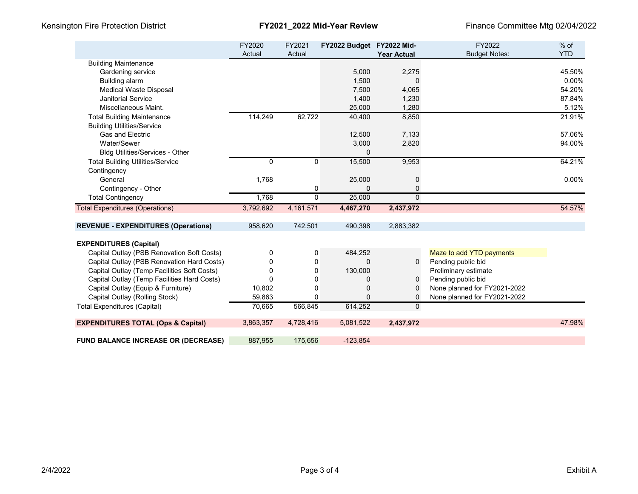|                                               | FY2020<br>Actual | FY2021<br>Actual | FY2022 Budget FY2022 Mid- | <b>Year Actual</b> | FY2022<br><b>Budget Notes:</b> | $%$ of<br><b>YTD</b> |
|-----------------------------------------------|------------------|------------------|---------------------------|--------------------|--------------------------------|----------------------|
| <b>Building Maintenance</b>                   |                  |                  |                           |                    |                                |                      |
| Gardening service                             |                  |                  | 5,000                     | 2,275              |                                | 45.50%               |
| Building alarm                                |                  |                  | 1,500                     | 0                  |                                | 0.00%                |
| <b>Medical Waste Disposal</b>                 |                  |                  | 7,500                     | 4,065              |                                | 54.20%               |
| <b>Janitorial Service</b>                     |                  |                  | 1,400                     | 1,230              |                                | 87.84%               |
| Miscellaneous Maint.                          |                  |                  | 25,000                    | 1,280              |                                | 5.12%                |
| <b>Total Building Maintenance</b>             | 114,249          | 62,722           | 40,400                    | 8,850              |                                | 21.91%               |
| <b>Building Utilities/Service</b>             |                  |                  |                           |                    |                                |                      |
| <b>Gas and Electric</b>                       |                  |                  | 12,500                    | 7,133              |                                | 57.06%               |
| Water/Sewer                                   |                  |                  | 3,000                     | 2,820              |                                | 94.00%               |
| <b>Bldg Utilities/Services - Other</b>        |                  |                  | 0                         |                    |                                |                      |
| <b>Total Building Utilities/Service</b>       | 0                | 0                | 15,500                    | 9,953              |                                | 64.21%               |
| Contingency                                   |                  |                  |                           |                    |                                |                      |
| General                                       | 1,768            |                  | 25,000                    | 0                  |                                | $0.00\%$             |
| Contingency - Other                           |                  | 0                | $\Omega$                  | 0                  |                                |                      |
| <b>Total Contingency</b>                      | 1,768            | $\Omega$         | 25,000                    | $\Omega$           |                                |                      |
| <b>Total Expenditures (Operations)</b>        | 3,792,692        | 4,161,571        | 4,467,270                 | 2,437,972          |                                | 54.57%               |
| <b>REVENUE - EXPENDITURES (Operations)</b>    | 958,620          | 742,501          | 490,398                   | 2,883,382          |                                |                      |
| <b>EXPENDITURES (Capital)</b>                 |                  |                  |                           |                    |                                |                      |
| Capital Outlay (PSB Renovation Soft Costs)    | 0                | 0                | 484,252                   |                    | Maze to add YTD payments       |                      |
| Capital Outlay (PSB Renovation Hard Costs)    | 0                | 0                | $\Omega$                  | $\Omega$           | Pending public bid             |                      |
| Capital Outlay (Temp Facilities Soft Costs)   | 0                | 0                | 130,000                   |                    | Preliminary estimate           |                      |
| Capital Outlay (Temp Facilities Hard Costs)   | U                | 0                | 0                         | 0                  | Pending public bid             |                      |
| Capital Outlay (Equip & Furniture)            | 10,802           | 0                | 0                         | 0                  | None planned for FY2021-2022   |                      |
| Capital Outlay (Rolling Stock)                | 59,863           | 0                | 0                         | 0                  | None planned for FY2021-2022   |                      |
| <b>Total Expenditures (Capital)</b>           | 70,665           | 566,845          | 614,252                   | 0                  |                                |                      |
| <b>EXPENDITURES TOTAL (Ops &amp; Capital)</b> | 3,863,357        | 4,728,416        | 5,081,522                 | 2,437,972          |                                | 47.98%               |
| <b>FUND BALANCE INCREASE OR (DECREASE)</b>    | 887,955          | 175,656          | $-123,854$                |                    |                                |                      |